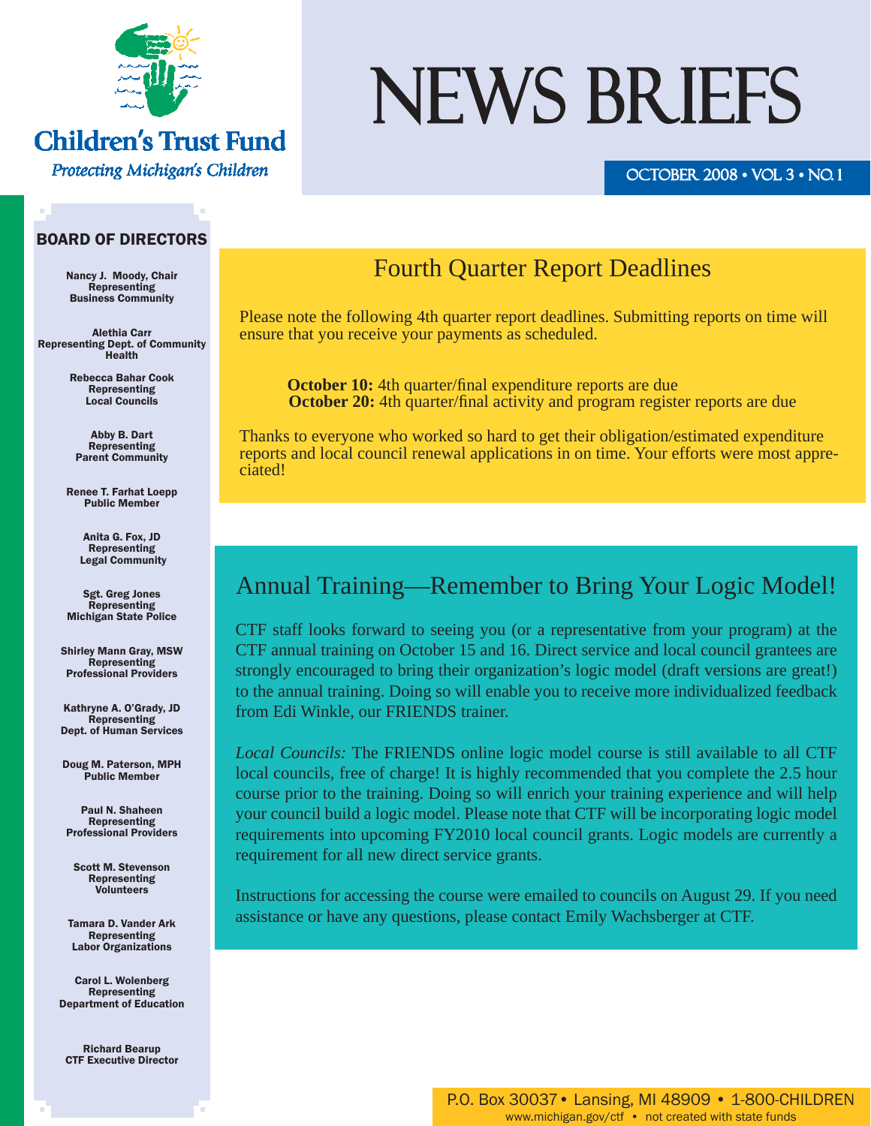

#### **Children's Trust Fund**

Protecting Michigan's Children

# NEWS BRIEFS

#### OCTOBER  $2008 \cdot \text{VOL}$   $3 \cdot \text{NO}$ .

#### BOARD OF DIRECTORS

Nancy J. Moody, Chair Representing Business Community

Alethia Carr Representing Dept. of Community Health

> Rebecca Bahar Cook Representing Local Councils

Abby B. Dart Representing Parent Community

Renee T. Farhat Loepp Public Member

> Anita G. Fox, JD Representing Legal Community

Sgt. Greg Jones Representing Michigan State Police

Shirley Mann Gray, MSW Representing Professional Providers

Kathryne A. O'Grady, JD Representing Dept. of Human Services

Doug M. Paterson, MPH Public Member

Paul N. Shaheen Representing Professional Providers

Scott M. Stevenson Representing Volunteers

Tamara D. Vander Ark Representing Labor Organizations

Carol L. Wolenberg Representing Department of Education

Richard Bearup CTF Executive Director

#### Fourth Quarter Report Deadlines

Please note the following 4th quarter report deadlines. Submitting reports on time will ensure that you receive your payments as scheduled.

**October 10:** 4th quarter/final expenditure reports are due **October 20:** 4th quarter/final activity and program register reports are due

Thanks to everyone who worked so hard to get their obligation/estimated expenditure reports and local council renewal applications in on time. Your efforts were most appreciated!

#### Annual Training—Remember to Bring Your Logic Model!

CTF staff looks forward to seeing you (or a representative from your program) at the CTF annual training on October 15 and 16. Direct service and local council grantees are strongly encouraged to bring their organization's logic model (draft versions are great!) to the annual training. Doing so will enable you to receive more individualized feedback from Edi Winkle, our FRIENDS trainer.

*Local Councils:* The FRIENDS online logic model course is still available to all CTF local councils, free of charge! It is highly recommended that you complete the 2.5 hour course prior to the training. Doing so will enrich your training experience and will help your council build a logic model. Please note that CTF will be incorporating logic model requirements into upcoming FY2010 local council grants. Logic models are currently a requirement for all new direct service grants.

Instructions for accessing the course were emailed to councils on August 29. If you need assistance or have any questions, please contact Emily Wachsberger at CTF.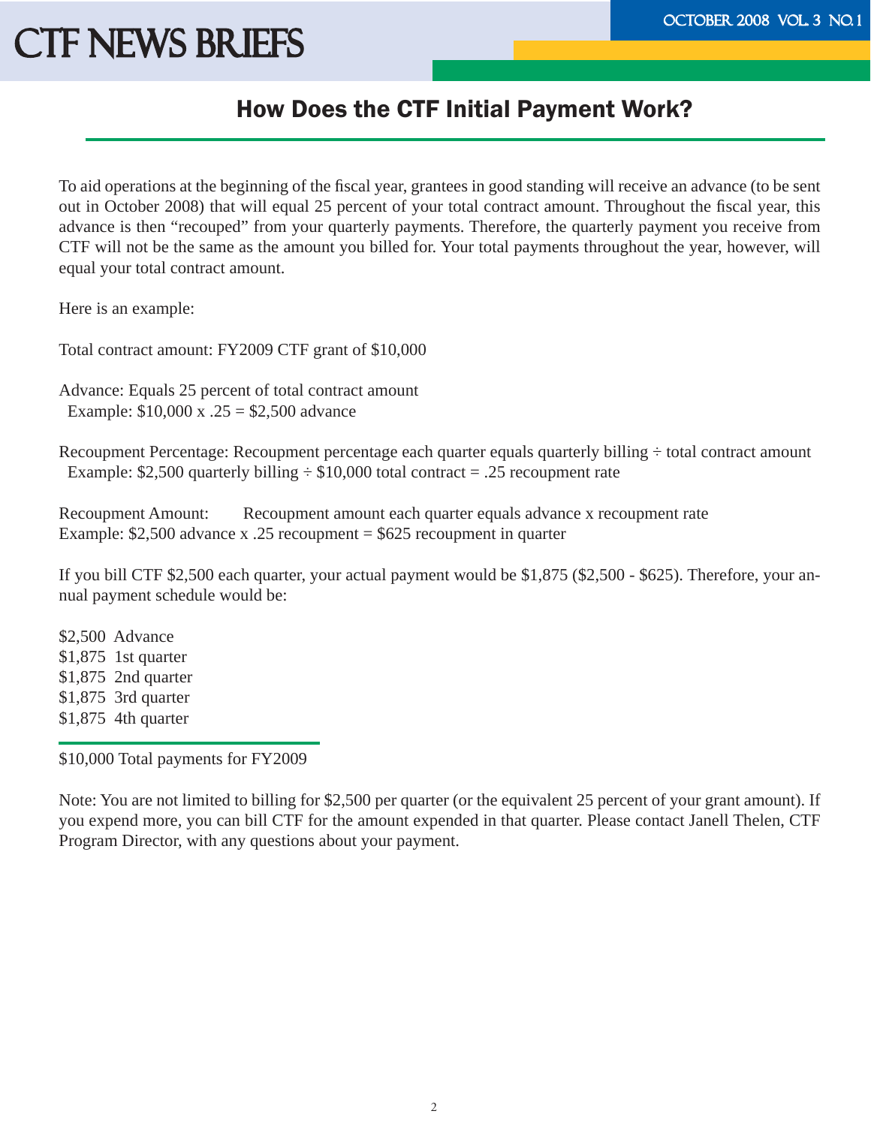#### How Does the CTF Initial Payment Work?

To aid operations at the beginning of the fiscal year, grantees in good standing will receive an advance (to be sent out in October 2008) that will equal 25 percent of your total contract amount. Throughout the fiscal year, this advance is then "recouped" from your quarterly payments. Therefore, the quarterly payment you receive from CTF will not be the same as the amount you billed for. Your total payments throughout the year, however, will equal your total contract amount.

Here is an example:

Total contract amount: FY2009 CTF grant of \$10,000

Advance: Equals 25 percent of total contract amount Example: \$10,000 x .25 = \$2,500 advance

Recoupment Percentage: Recoupment percentage each quarter equals quarterly billing ÷ total contract amount Example: \$2,500 quarterly billing  $\div$  \$10,000 total contract = .25 recoupment rate

Recoupment Amount: Recoupment amount each quarter equals advance x recoupment rate Example: \$2,500 advance x .25 recoupment = \$625 recoupment in quarter

If you bill CTF \$2,500 each quarter, your actual payment would be \$1,875 (\$2,500 - \$625). Therefore, your annual payment schedule would be:

\$2,500 Advance \$1,875 1st quarter \$1,875 2nd quarter \$1,875 3rd quarter \$1,875 4th quarter

\$10,000 Total payments for FY2009

Note: You are not limited to billing for \$2,500 per quarter (or the equivalent 25 percent of your grant amount). If you expend more, you can bill CTF for the amount expended in that quarter. Please contact Janell Thelen, CTF Program Director, with any questions about your payment.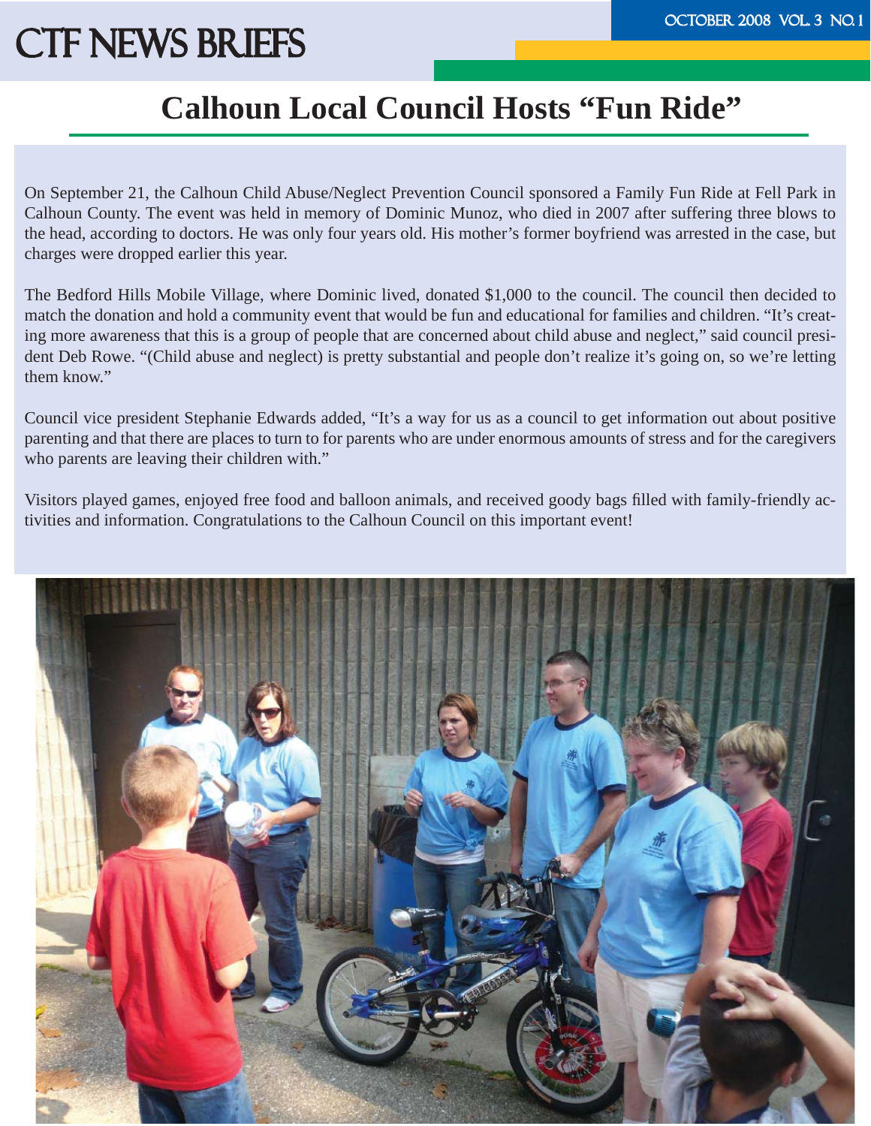### **Calhoun Local Council Hosts "Fun Ride"**

On September 21, the Calhoun Child Abuse/Neglect Prevention Council sponsored a Family Fun Ride at Fell Park in Calhoun County. The event was held in memory of Dominic Munoz, who died in 2007 after suffering three blows to the head, according to doctors. He was only four years old. His mother's former boyfriend was arrested in the case, but charges were dropped earlier this year.

The Bedford Hills Mobile Village, where Dominic lived, donated \$1,000 to the council. The council then decided to match the donation and hold a community event that would be fun and educational for families and children. "It's creating more awareness that this is a group of people that are concerned about child abuse and neglect," said council president Deb Rowe. "(Child abuse and neglect) is pretty substantial and people don't realize it's going on, so we're letting them know."

Council vice president Stephanie Edwards added, "It's a way for us as a council to get information out about positive parenting and that there are places to turn to for parents who are under enormous amounts of stress and for the caregivers who parents are leaving their children with."

Visitors played games, enjoyed free food and balloon animals, and received goody bags filled with family-friendly activities and information. Congratulations to the Calhoun Council on this important event!

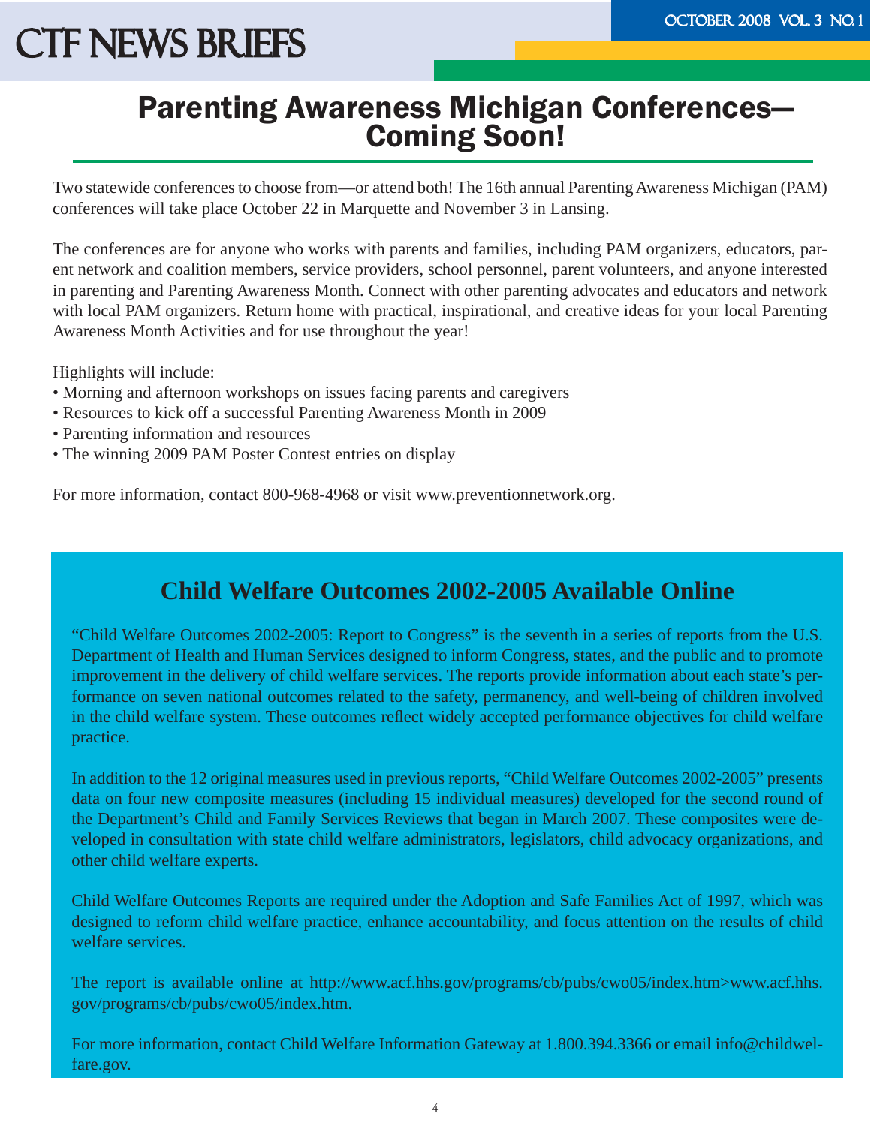## Parenting Awareness Michigan Conferences— Coming Soon!

Two statewide conferences to choose from—or attend both! The 16th annual Parenting Awareness Michigan (PAM) conferences will take place October 22 in Marquette and November 3 in Lansing.

The conferences are for anyone who works with parents and families, including PAM organizers, educators, parent network and coalition members, service providers, school personnel, parent volunteers, and anyone interested in parenting and Parenting Awareness Month. Connect with other parenting advocates and educators and network with local PAM organizers. Return home with practical, inspirational, and creative ideas for your local Parenting Awareness Month Activities and for use throughout the year!

Highlights will include:

- Morning and afternoon workshops on issues facing parents and caregivers
- Resources to kick off a successful Parenting Awareness Month in 2009
- Parenting information and resources
- The winning 2009 PAM Poster Contest entries on display

For more information, contact 800-968-4968 or visit www.preventionnetwork.org.

#### **Child Welfare Outcomes 2002-2005 Available Online**

"Child Welfare Outcomes 2002-2005: Report to Congress" is the seventh in a series of reports from the U.S. Department of Health and Human Services designed to inform Congress, states, and the public and to promote improvement in the delivery of child welfare services. The reports provide information about each state's performance on seven national outcomes related to the safety, permanency, and well-being of children involved in the child welfare system. These outcomes reflect widely accepted performance objectives for child welfare practice.

In addition to the 12 original measures used in previous reports, "Child Welfare Outcomes 2002-2005" presents data on four new composite measures (including 15 individual measures) developed for the second round of the Department's Child and Family Services Reviews that began in March 2007. These composites were developed in consultation with state child welfare administrators, legislators, child advocacy organizations, and other child welfare experts.

Child Welfare Outcomes Reports are required under the Adoption and Safe Families Act of 1997, which was designed to reform child welfare practice, enhance accountability, and focus attention on the results of child welfare services.

The report is available online at http://www.acf.hhs.gov/programs/cb/pubs/cwo05/index.htm>www.acf.hhs. gov/programs/cb/pubs/cwo05/index.htm.

For more information, contact Child Welfare Information Gateway at 1.800.394.3366 or email info@childwelfare.gov.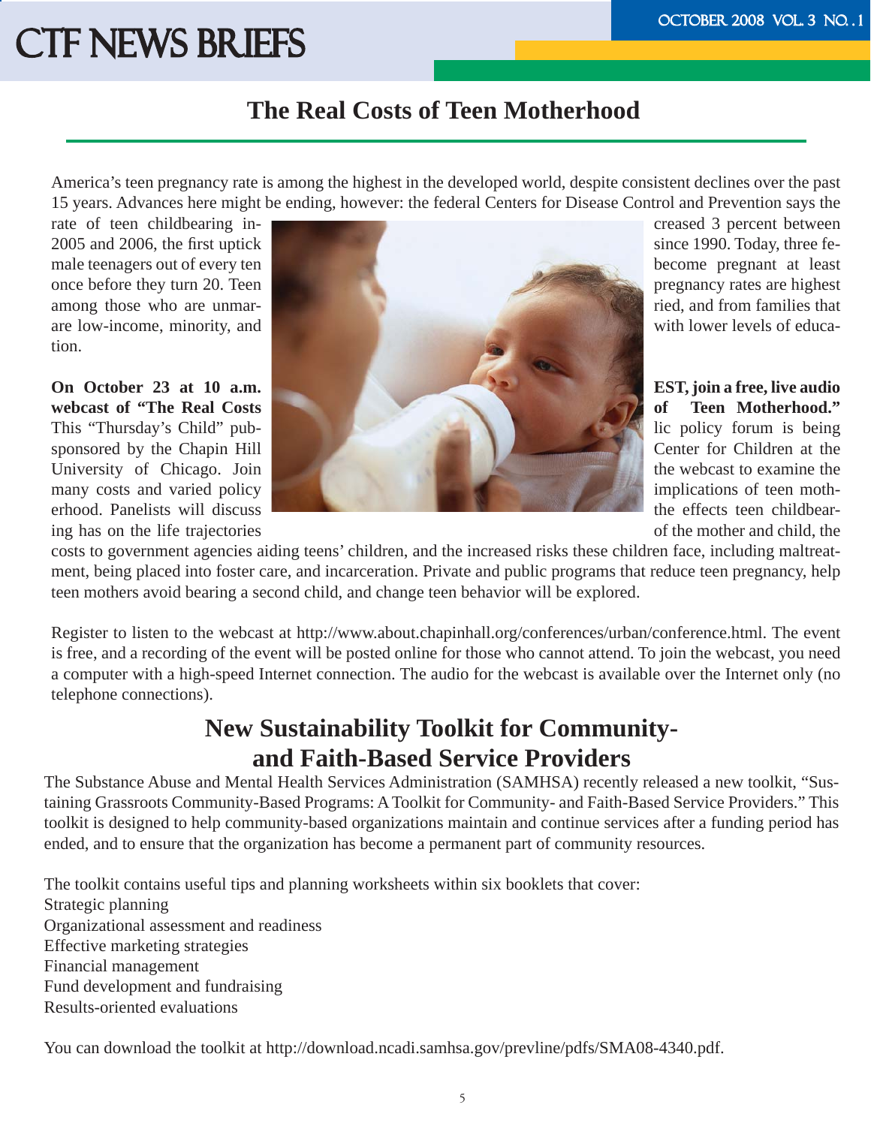#### **The Real Costs of Teen Motherhood**

America's teen pregnancy rate is among the highest in the developed world, despite consistent declines over the past 15 years. Advances here might be ending, however: the federal Centers for Disease Control and Prevention says the

tion.

ing has on the life trajectories of the mother and child, the

![](_page_4_Picture_6.jpeg)

costs to government agencies aiding teens' children, and the increased risks these children face, including maltreatment, being placed into foster care, and incarceration. Private and public programs that reduce teen pregnancy, help teen mothers avoid bearing a second child, and change teen behavior will be explored.

Register to listen to the webcast at http://www.about.chapinhall.org/conferences/urban/conference.html. The event is free, and a recording of the event will be posted online for those who cannot attend. To join the webcast, you need a computer with a high-speed Internet connection. The audio for the webcast is available over the Internet only (no telephone connections).

#### **New Sustainability Toolkit for Communityand Faith-Based Service Providers**

The Substance Abuse and Mental Health Services Administration (SAMHSA) recently released a new toolkit, "Sustaining Grassroots Community-Based Programs: A Toolkit for Community- and Faith-Based Service Providers." This toolkit is designed to help community-based organizations maintain and continue services after a funding period has ended, and to ensure that the organization has become a permanent part of community resources.

The toolkit contains useful tips and planning worksheets within six booklets that cover: Strategic planning Organizational assessment and readiness Effective marketing strategies Financial management Fund development and fundraising Results-oriented evaluations

You can download the toolkit at http://download.ncadi.samhsa.gov/prevline/pdfs/SMA08-4340.pdf.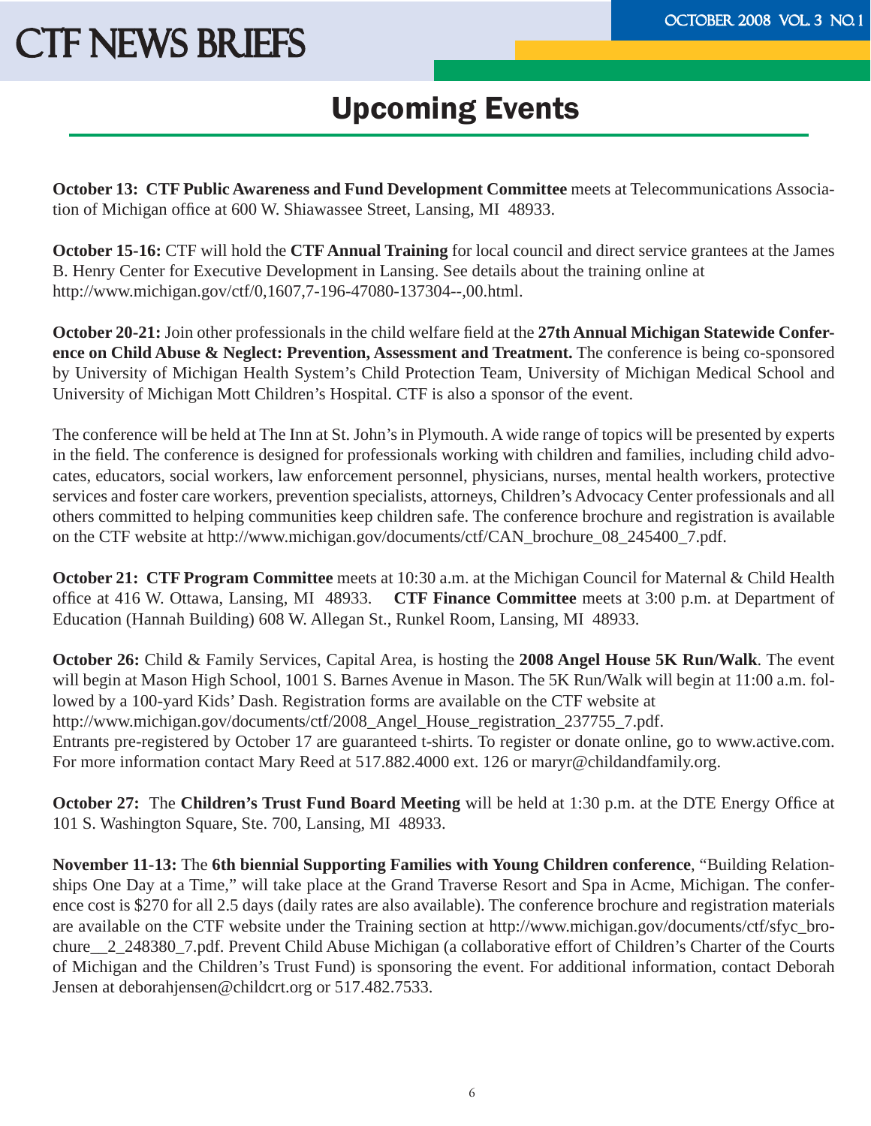### Upcoming Events

**October 13: CTF Public Awareness and Fund Development Committee** meets at Telecommunications Association of Michigan office at 600 W. Shiawassee Street, Lansing, MI 48933.

**October 15-16:** CTF will hold the **CTF Annual Training** for local council and direct service grantees at the James B. Henry Center for Executive Development in Lansing. See details about the training online at http://www.michigan.gov/ctf/0,1607,7-196-47080-137304--,00.html.

**October 20-21:** Join other professionals in the child welfare field at the 27th Annual Michigan Statewide Confer**ence on Child Abuse & Neglect: Prevention, Assessment and Treatment.** The conference is being co-sponsored by University of Michigan Health System's Child Protection Team, University of Michigan Medical School and University of Michigan Mott Children's Hospital. CTF is also a sponsor of the event.

The conference will be held at The Inn at St. John's in Plymouth. A wide range of topics will be presented by experts in the field. The conference is designed for professionals working with children and families, including child advocates, educators, social workers, law enforcement personnel, physicians, nurses, mental health workers, protective services and foster care workers, prevention specialists, attorneys, Children's Advocacy Center professionals and all others committed to helping communities keep children safe. The conference brochure and registration is available on the CTF website at http://www.michigan.gov/documents/ctf/CAN\_brochure\_08\_245400\_7.pdf.

**October 21: CTF Program Committee** meets at 10:30 a.m. at the Michigan Council for Maternal & Child Health office at 416 W. Ottawa, Lansing, MI 48933. **CTF Finance Committee** meets at 3:00 p.m. at Department of Education (Hannah Building) 608 W. Allegan St., Runkel Room, Lansing, MI 48933.

**October 26:** Child & Family Services, Capital Area, is hosting the **2008 Angel House 5K Run/Walk**. The event will begin at Mason High School, 1001 S. Barnes Avenue in Mason. The 5K Run/Walk will begin at 11:00 a.m. followed by a 100-yard Kids' Dash. Registration forms are available on the CTF website at http://www.michigan.gov/documents/ctf/2008\_Angel\_House\_registration\_237755\_7.pdf. Entrants pre-registered by October 17 are guaranteed t-shirts. To register or donate online, go to www.active.com. For more information contact Mary Reed at 517.882.4000 ext. 126 or maryr@childandfamily.org.

**October 27:** The **Children's Trust Fund Board Meeting** will be held at 1:30 p.m. at the DTE Energy Office at 101 S. Washington Square, Ste. 700, Lansing, MI 48933.

**November 11-13:** The **6th biennial Supporting Families with Young Children conference**, "Building Relationships One Day at a Time," will take place at the Grand Traverse Resort and Spa in Acme, Michigan. The conference cost is \$270 for all 2.5 days (daily rates are also available). The conference brochure and registration materials are available on the CTF website under the Training section at http://www.michigan.gov/documents/ctf/sfyc\_brochure\_\_2\_248380\_7.pdf. Prevent Child Abuse Michigan (a collaborative effort of Children's Charter of the Courts of Michigan and the Children's Trust Fund) is sponsoring the event. For additional information, contact Deborah Jensen at deborahjensen@childcrt.org or 517.482.7533.